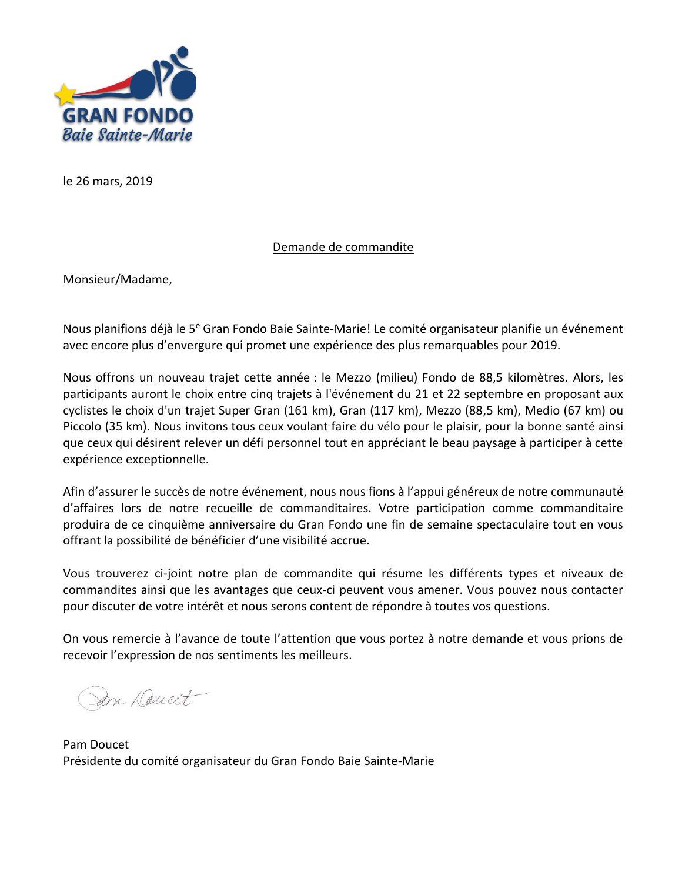

le 26 mars, 2019

### Demande de commandite

Monsieur/Madame,

Nous planifions déjà le 5<sup>e</sup> Gran Fondo Baie Sainte-Marie! Le comité organisateur planifie un événement avec encore plus d'envergure qui promet une expérience des plus remarquables pour 2019.

Nous offrons un nouveau trajet cette année : le Mezzo (milieu) Fondo de 88,5 kilomètres. Alors, les participants auront le choix entre cinq trajets à l'événement du 21 et 22 septembre en proposant aux cyclistes le choix d'un trajet Super Gran (161 km), Gran (117 km), Mezzo (88,5 km), Medio (67 km) ou Piccolo (35 km). Nous invitons tous ceux voulant faire du vélo pour le plaisir, pour la bonne santé ainsi que ceux qui désirent relever un défi personnel tout en appréciant le beau paysage à participer à cette expérience exceptionnelle.

Afin d'assurer le succès de notre événement, nous nous fions à l'appui généreux de notre communauté d'affaires lors de notre recueille de commanditaires. Votre participation comme commanditaire produira de ce cinquième anniversaire du Gran Fondo une fin de semaine spectaculaire tout en vous offrant la possibilité de bénéficier d'une visibilité accrue.

Vous trouverez ci-joint notre plan de commandite qui résume les différents types et niveaux de commandites ainsi que les avantages que ceux-ci peuvent vous amener. Vous pouvez nous contacter pour discuter de votre intérêt et nous serons content de répondre à toutes vos questions.

On vous remercie à l'avance de toute l'attention que vous portez à notre demande et vous prions de recevoir l'expression de nos sentiments les meilleurs.

Sam Deucet

Pam Doucet Présidente du comité organisateur du Gran Fondo Baie Sainte-Marie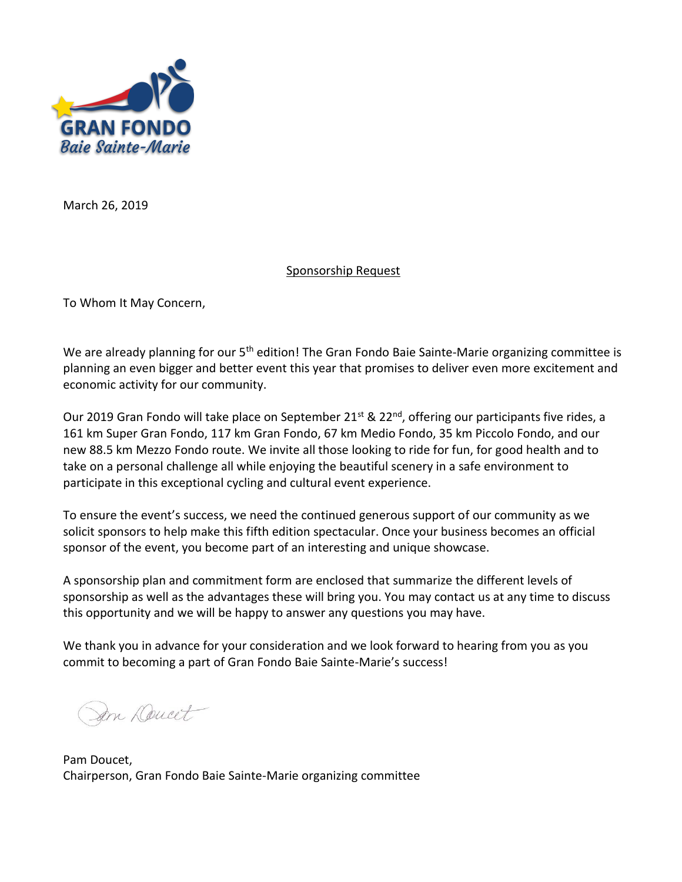

March 26, 2019

### Sponsorship Request

To Whom It May Concern,

We are already planning for our 5<sup>th</sup> edition! The Gran Fondo Baie Sainte-Marie organizing committee is planning an even bigger and better event this year that promises to deliver even more excitement and economic activity for our community.

Our 2019 Gran Fondo will take place on September 21<sup>st</sup> & 22<sup>nd</sup>, offering our participants five rides, a 161 km Super Gran Fondo, 117 km Gran Fondo, 67 km Medio Fondo, 35 km Piccolo Fondo, and our new 88.5 km Mezzo Fondo route. We invite all those looking to ride for fun, for good health and to take on a personal challenge all while enjoying the beautiful scenery in a safe environment to participate in this exceptional cycling and cultural event experience.

To ensure the event's success, we need the continued generous support of our community as we solicit sponsors to help make this fifth edition spectacular. Once your business becomes an official sponsor of the event, you become part of an interesting and unique showcase.

A sponsorship plan and commitment form are enclosed that summarize the different levels of sponsorship as well as the advantages these will bring you. You may contact us at any time to discuss this opportunity and we will be happy to answer any questions you may have.

We thank you in advance for your consideration and we look forward to hearing from you as you commit to becoming a part of Gran Fondo Baie Sainte-Marie's success!

Jan Doucet

Pam Doucet, Chairperson, Gran Fondo Baie Sainte-Marie organizing committee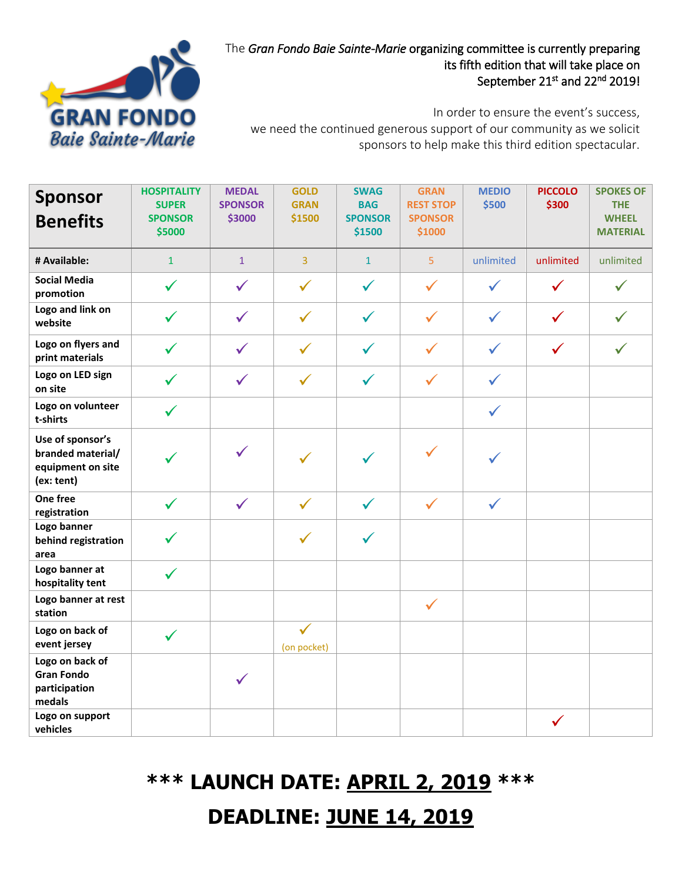

## The *Gran Fondo Baie Sainte-Marie* organizing committee is currently preparing its fifth edition that will take place on September 21<sup>st</sup> and 22<sup>nd</sup> 2019!

In order to ensure the event's success, we need the continued generous support of our community as we solicit sponsors to help make this third edition spectacular.

| <b>Sponsor</b>                                                           | <b>HOSPITALITY</b><br><b>SUPER</b> | <b>MEDAL</b><br><b>SPONSOR</b> | <b>GOLD</b><br><b>GRAN</b>  | <b>SWAG</b><br><b>BAG</b> | <b>GRAN</b><br><b>REST STOP</b> | <b>MEDIO</b><br>\$500 | <b>PICCOLO</b><br>\$300 | <b>SPOKES OF</b><br><b>THE</b>  |
|--------------------------------------------------------------------------|------------------------------------|--------------------------------|-----------------------------|---------------------------|---------------------------------|-----------------------|-------------------------|---------------------------------|
| <b>Benefits</b>                                                          | <b>SPONSOR</b><br>\$5000           | \$3000                         | \$1500                      | <b>SPONSOR</b><br>\$1500  | <b>SPONSOR</b><br>\$1000        |                       |                         | <b>WHEEL</b><br><b>MATERIAL</b> |
| # Available:                                                             | $\mathbf{1}$                       | $\mathbf{1}$                   | 3                           | $\mathbf{1}$              | $\overline{5}$                  | unlimited             | unlimited               | unlimited                       |
| <b>Social Media</b><br>promotion                                         | $\checkmark$                       | $\checkmark$                   | $\checkmark$                | $\checkmark$              | $\checkmark$                    | $\checkmark$          | $\checkmark$            | $\checkmark$                    |
| Logo and link on<br>website                                              | $\checkmark$                       | $\checkmark$                   | $\checkmark$                | $\checkmark$              | $\checkmark$                    | $\checkmark$          | $\checkmark$            | $\checkmark$                    |
| Logo on flyers and<br>print materials                                    | $\checkmark$                       | $\checkmark$                   | $\checkmark$                | $\checkmark$              | $\checkmark$                    | $\checkmark$          | $\checkmark$            | $\checkmark$                    |
| Logo on LED sign<br>on site                                              | $\checkmark$                       | $\checkmark$                   | $\checkmark$                | $\checkmark$              | $\checkmark$                    | $\checkmark$          |                         |                                 |
| Logo on volunteer<br>t-shirts                                            | $\checkmark$                       |                                |                             |                           |                                 | $\checkmark$          |                         |                                 |
| Use of sponsor's<br>branded material/<br>equipment on site<br>(ex: tent) |                                    | $\checkmark$                   |                             |                           | $\checkmark$                    |                       |                         |                                 |
| One free<br>registration                                                 | $\checkmark$                       | $\checkmark$                   | $\checkmark$                | $\checkmark$              | $\checkmark$                    | $\checkmark$          |                         |                                 |
| Logo banner<br>behind registration<br>area                               | $\checkmark$                       |                                | $\checkmark$                | $\checkmark$              |                                 |                       |                         |                                 |
| Logo banner at<br>hospitality tent                                       | $\checkmark$                       |                                |                             |                           |                                 |                       |                         |                                 |
| Logo banner at rest<br>station                                           |                                    |                                |                             |                           | $\checkmark$                    |                       |                         |                                 |
| Logo on back of<br>event jersey                                          | $\checkmark$                       |                                | $\checkmark$<br>(on pocket) |                           |                                 |                       |                         |                                 |
| Logo on back of<br><b>Gran Fondo</b><br>participation<br>medals          |                                    | $\checkmark$                   |                             |                           |                                 |                       |                         |                                 |
| Logo on support<br>vehicles                                              |                                    |                                |                             |                           |                                 |                       | $\checkmark$            |                                 |

# **\*\*\* LAUNCH DATE: APRIL 2, 2019 \*\*\***

# **DEADLINE: JUNE 14, 2019**